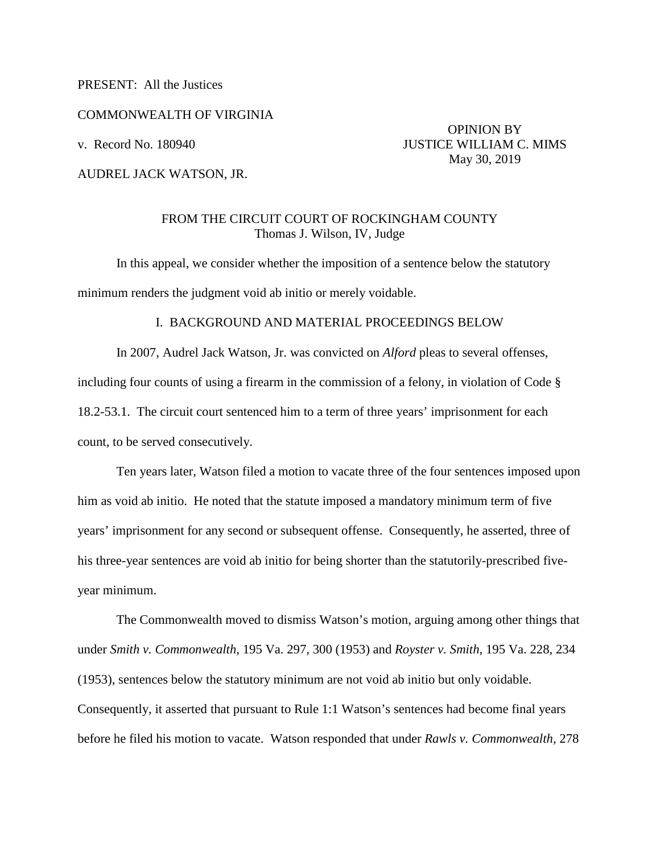PRESENT: All the Justices

COMMONWEALTH OF VIRGINIA

AUDREL JACK WATSON, JR.

 OPINION BY v. Record No. 180940 JUSTICE WILLIAM C. MIMS May 30, 2019

## FROM THE CIRCUIT COURT OF ROCKINGHAM COUNTY Thomas J. Wilson, IV, Judge

In this appeal, we consider whether the imposition of a sentence below the statutory minimum renders the judgment void ab initio or merely voidable.

## I. BACKGROUND AND MATERIAL PROCEEDINGS BELOW

In 2007, Audrel Jack Watson, Jr. was convicted on *Alford* pleas to several offenses, including four counts of using a firearm in the commission of a felony, in violation of Code  $\S$ 18.2-53.1. The circuit court sentenced him to a term of three years' imprisonment for each count, to be served consecutively.

Ten years later, Watson filed a motion to vacate three of the four sentences imposed upon him as void ab initio. He noted that the statute imposed a mandatory minimum term of five years' imprisonment for any second or subsequent offense. Consequently, he asserted, three of his three-year sentences are void ab initio for being shorter than the statutorily-prescribed fiveyear minimum.

The Commonwealth moved to dismiss Watson's motion, arguing among other things that under *Smith v. Commonwealth*, 195 Va. 297, 300 (1953) and *Royster v. Smith*, 195 Va. 228, 234 (1953), sentences below the statutory minimum are not void ab initio but only voidable. Consequently, it asserted that pursuant to Rule 1:1 Watson's sentences had become final years before he filed his motion to vacate. Watson responded that under *Rawls v. Commonwealth*, 278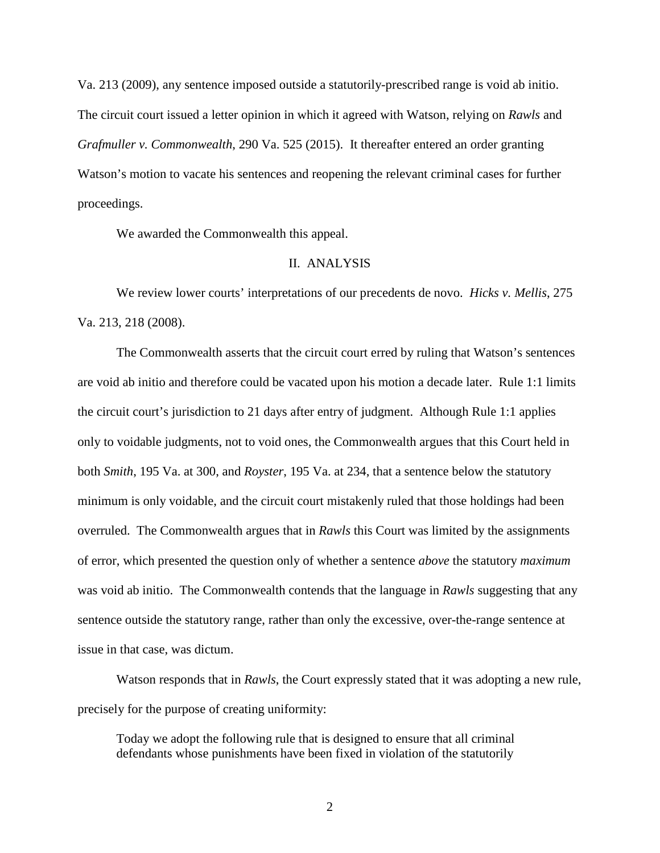Va. 213 (2009), any sentence imposed outside a statutorily-prescribed range is void ab initio. The circuit court issued a letter opinion in which it agreed with Watson, relying on *Rawls* and *Grafmuller v. Commonwealth*, 290 Va. 525 (2015). It thereafter entered an order granting Watson's motion to vacate his sentences and reopening the relevant criminal cases for further proceedings.

We awarded the Commonwealth this appeal.

## II. ANALYSIS

We review lower courts' interpretations of our precedents de novo. *Hicks v. Mellis*, 275 Va. 213, 218 (2008).

The Commonwealth asserts that the circuit court erred by ruling that Watson's sentences are void ab initio and therefore could be vacated upon his motion a decade later. Rule 1:1 limits the circuit court's jurisdiction to 21 days after entry of judgment. Although Rule 1:1 applies only to voidable judgments, not to void ones, the Commonwealth argues that this Court held in both *Smith*, 195 Va. at 300, and *Royster*, 195 Va. at 234, that a sentence below the statutory minimum is only voidable, and the circuit court mistakenly ruled that those holdings had been overruled. The Commonwealth argues that in *Rawls* this Court was limited by the assignments of error, which presented the question only of whether a sentence *above* the statutory *maximum* was void ab initio. The Commonwealth contends that the language in *Rawls* suggesting that any sentence outside the statutory range, rather than only the excessive, over-the-range sentence at issue in that case, was dictum.

Watson responds that in *Rawls*, the Court expressly stated that it was adopting a new rule, precisely for the purpose of creating uniformity:

Today we adopt the following rule that is designed to ensure that all criminal defendants whose punishments have been fixed in violation of the statutorily

2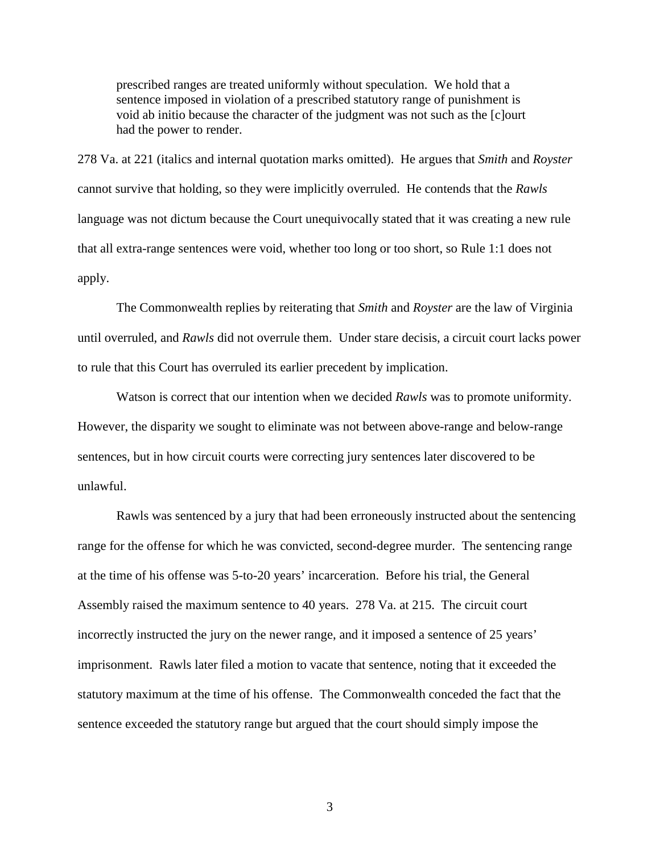prescribed ranges are treated uniformly without speculation. We hold that a sentence imposed in violation of a prescribed statutory range of punishment is void ab initio because the character of the judgment was not such as the [c]ourt had the power to render.

278 Va. at 221 (italics and internal quotation marks omitted). He argues that *Smith* and *Royster* cannot survive that holding, so they were implicitly overruled. He contends that the *Rawls* language was not dictum because the Court unequivocally stated that it was creating a new rule that all extra-range sentences were void, whether too long or too short, so Rule 1:1 does not apply.

The Commonwealth replies by reiterating that *Smith* and *Royster* are the law of Virginia until overruled, and *Rawls* did not overrule them. Under stare decisis, a circuit court lacks power to rule that this Court has overruled its earlier precedent by implication.

Watson is correct that our intention when we decided *Rawls* was to promote uniformity. However, the disparity we sought to eliminate was not between above-range and below-range sentences, but in how circuit courts were correcting jury sentences later discovered to be unlawful.

Rawls was sentenced by a jury that had been erroneously instructed about the sentencing range for the offense for which he was convicted, second-degree murder. The sentencing range at the time of his offense was 5-to-20 years' incarceration. Before his trial, the General Assembly raised the maximum sentence to 40 years. 278 Va. at 215. The circuit court incorrectly instructed the jury on the newer range, and it imposed a sentence of 25 years' imprisonment. Rawls later filed a motion to vacate that sentence, noting that it exceeded the statutory maximum at the time of his offense. The Commonwealth conceded the fact that the sentence exceeded the statutory range but argued that the court should simply impose the

3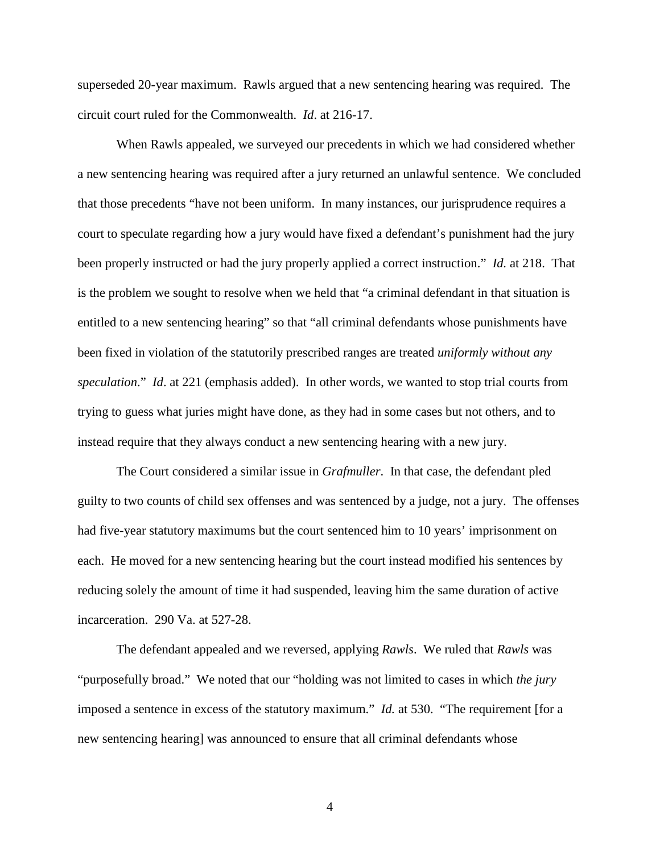superseded 20-year maximum. Rawls argued that a new sentencing hearing was required. The circuit court ruled for the Commonwealth. *Id*. at 216-17.

When Rawls appealed, we surveyed our precedents in which we had considered whether a new sentencing hearing was required after a jury returned an unlawful sentence. We concluded that those precedents "have not been uniform. In many instances, our jurisprudence requires a court to speculate regarding how a jury would have fixed a defendant's punishment had the jury been properly instructed or had the jury properly applied a correct instruction." *Id.* at 218. That is the problem we sought to resolve when we held that "a criminal defendant in that situation is entitled to a new sentencing hearing" so that "all criminal defendants whose punishments have been fixed in violation of the statutorily prescribed ranges are treated *uniformly without any speculation*." *Id*. at 221 (emphasis added). In other words, we wanted to stop trial courts from trying to guess what juries might have done, as they had in some cases but not others, and to instead require that they always conduct a new sentencing hearing with a new jury.

The Court considered a similar issue in *Grafmuller*. In that case, the defendant pled guilty to two counts of child sex offenses and was sentenced by a judge, not a jury. The offenses had five-year statutory maximums but the court sentenced him to 10 years' imprisonment on each. He moved for a new sentencing hearing but the court instead modified his sentences by reducing solely the amount of time it had suspended, leaving him the same duration of active incarceration. 290 Va. at 527-28.

The defendant appealed and we reversed, applying *Rawls*. We ruled that *Rawls* was "purposefully broad." We noted that our "holding was not limited to cases in which *the jury* imposed a sentence in excess of the statutory maximum." *Id.* at 530. "The requirement [for a new sentencing hearing] was announced to ensure that all criminal defendants whose

4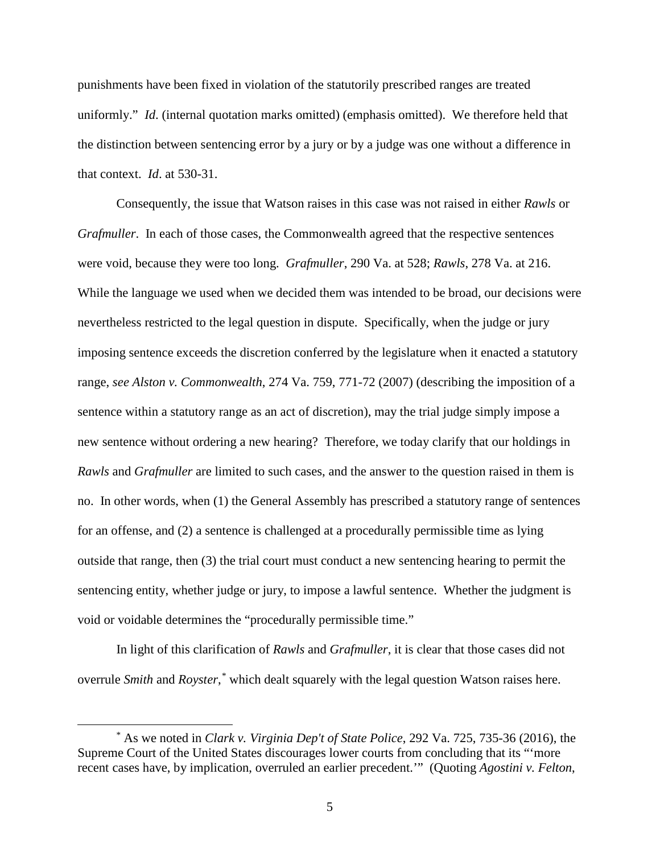punishments have been fixed in violation of the statutorily prescribed ranges are treated uniformly." *Id*. (internal quotation marks omitted) (emphasis omitted). We therefore held that the distinction between sentencing error by a jury or by a judge was one without a difference in that context. *Id*. at 530-31.

Consequently, the issue that Watson raises in this case was not raised in either *Rawls* or *Grafmuller*. In each of those cases, the Commonwealth agreed that the respective sentences were void, because they were too long. *Grafmuller*, 290 Va. at 528; *Rawls*, 278 Va. at 216. While the language we used when we decided them was intended to be broad, our decisions were nevertheless restricted to the legal question in dispute. Specifically, when the judge or jury imposing sentence exceeds the discretion conferred by the legislature when it enacted a statutory range, *see Alston v. Commonwealth*, 274 Va. 759, 771-72 (2007) (describing the imposition of a sentence within a statutory range as an act of discretion), may the trial judge simply impose a new sentence without ordering a new hearing? Therefore, we today clarify that our holdings in *Rawls* and *Grafmuller* are limited to such cases, and the answer to the question raised in them is no. In other words, when (1) the General Assembly has prescribed a statutory range of sentences for an offense, and (2) a sentence is challenged at a procedurally permissible time as lying outside that range, then (3) the trial court must conduct a new sentencing hearing to permit the sentencing entity, whether judge or jury, to impose a lawful sentence. Whether the judgment is void or voidable determines the "procedurally permissible time."

In light of this clarification of *Rawls* and *Grafmuller*, it is clear that those cases did not overrule *Smith* and *Royster*, [\\*](#page-4-0) which dealt squarely with the legal question Watson raises here.

<span id="page-4-0"></span> <sup>\*</sup> As we noted in *Clark v. Virginia Dep't of State Police*, 292 Va. 725, 735-36 (2016), the Supreme Court of the United States discourages lower courts from concluding that its "'more recent cases have, by implication, overruled an earlier precedent.'" (Quoting *Agostini v. Felton*,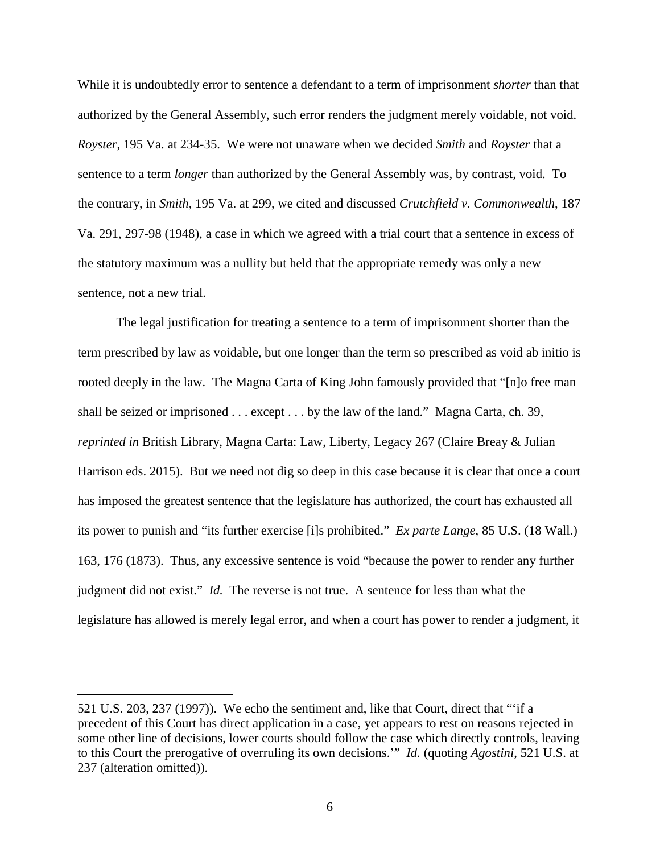While it is undoubtedly error to sentence a defendant to a term of imprisonment *shorter* than that authorized by the General Assembly, such error renders the judgment merely voidable, not void. *Royster*, 195 Va. at 234-35. We were not unaware when we decided *Smith* and *Royster* that a sentence to a term *longer* than authorized by the General Assembly was, by contrast, void. To the contrary, in *Smith*, 195 Va. at 299, we cited and discussed *Crutchfield v. Commonwealth*, 187 Va. 291, 297-98 (1948), a case in which we agreed with a trial court that a sentence in excess of the statutory maximum was a nullity but held that the appropriate remedy was only a new sentence, not a new trial.

The legal justification for treating a sentence to a term of imprisonment shorter than the term prescribed by law as voidable, but one longer than the term so prescribed as void ab initio is rooted deeply in the law. The Magna Carta of King John famously provided that "[n]o free man shall be seized or imprisoned . . . except . . . by the law of the land." Magna Carta, ch. 39, *reprinted in* British Library, Magna Carta: Law, Liberty, Legacy 267 (Claire Breay & Julian Harrison eds. 2015). But we need not dig so deep in this case because it is clear that once a court has imposed the greatest sentence that the legislature has authorized, the court has exhausted all its power to punish and "its further exercise [i]s prohibited." *Ex parte Lange*, 85 U.S. (18 Wall.) 163, 176 (1873). Thus, any excessive sentence is void "because the power to render any further judgment did not exist." *Id.* The reverse is not true. A sentence for less than what the legislature has allowed is merely legal error, and when a court has power to render a judgment, it

 $\overline{a}$ 

<sup>521</sup> U.S. 203, 237 (1997)). We echo the sentiment and, like that Court, direct that "'if a precedent of this Court has direct application in a case, yet appears to rest on reasons rejected in some other line of decisions, lower courts should follow the case which directly controls, leaving to this Court the prerogative of overruling its own decisions.'" *Id.* (quoting *Agostini*, 521 U.S. at 237 (alteration omitted)).